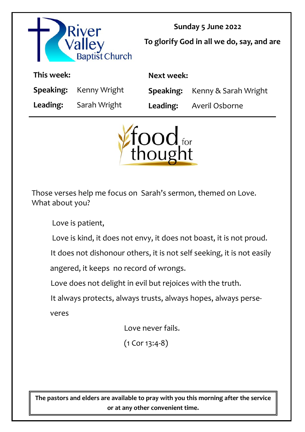| River<br>Valley<br>Baptist Church |              | Sunday 5 June 2022<br>To glorify God in all we do, say, and are |                      |
|-----------------------------------|--------------|-----------------------------------------------------------------|----------------------|
| This week:                        |              | Next week:                                                      |                      |
| Speaking:                         | Kenny Wright | Speaking:                                                       | Kenny & Sarah Wright |
| Leading:                          | Sarah Wright | Leading:                                                        | Averil Osborne       |



Those verses help me focus on Sarah's sermon, themed on Love. What about you?

Love is patient,

Love is kind, it does not envy, it does not boast, it is not proud.

It does not dishonour others, it is not self seeking, it is not easily

angered, it keeps no record of wrongs.

Love does not delight in evil but rejoices with the truth.

It always protects, always trusts, always hopes, always perse-

veres

Love never fails.

(1 Cor 13:4-8)

**The pastors and elders are available to pray with you this morning after the service or at any other convenient time.**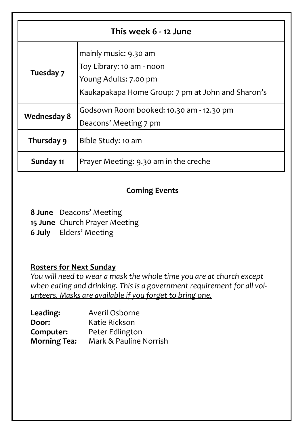| This week 6 - 12 June |                                                                                                                                  |  |  |  |
|-----------------------|----------------------------------------------------------------------------------------------------------------------------------|--|--|--|
| Tuesday 7             | mainly music: 9.30 am<br>Toy Library: 10 am - noon<br>Young Adults: 7.00 pm<br>Kaukapakapa Home Group: 7 pm at John and Sharon's |  |  |  |
| <b>Wednesday 8</b>    | Godsown Room booked: 10.30 am - 12.30 pm<br>Deacons' Meeting 7 pm                                                                |  |  |  |
| Thursday 9            | Bible Study: 10 am                                                                                                               |  |  |  |
| Sunday 11             | Prayer Meeting: 9.30 am in the creche                                                                                            |  |  |  |

## **Coming Events**

**8 June** Deacons' Meeting **15 June** Church Prayer Meeting **6 July** Elders' Meeting

### **Rosters for Next Sunday**

*You will need to wear a mask the whole time you are at church except when eating and drinking. This is a government requirement for all volunteers. Masks are available if you forget to bring one.*

| Leading:            | Averil Osborne         |
|---------------------|------------------------|
| Door:               | Katie Rickson          |
| Computer:           | Peter Edlington        |
| <b>Morning Tea:</b> | Mark & Pauline Norrish |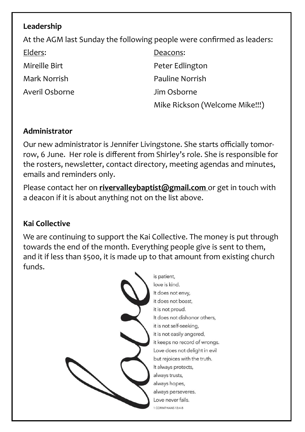## **Leadership**

At the AGM last Sunday the following people were confirmed as leaders:

Elders: Deacons: Averil Osborne Jim Osborne

Mireille Birt **Peter Edlington** Mark Norrish Pauline Norrish Mike Rickson (Welcome Mike!!!)

### **Administrator**

Our new administrator is Jennifer Livingstone. She starts officially tomorrow, 6 June. Her role is different from Shirley's role. She is responsible for the rosters, newsletter, contact directory, meeting agendas and minutes, emails and reminders only.

Please contact her on **rivervalleybaptist@gmail.com** or get in touch with a deacon if it is about anything not on the list above.

## **Kai Collective**

We are continuing to support the Kai Collective. The money is put through towards the end of the month. Everything people give is sent to them, and it if less than \$500, it is made up to that amount from existing church funds.